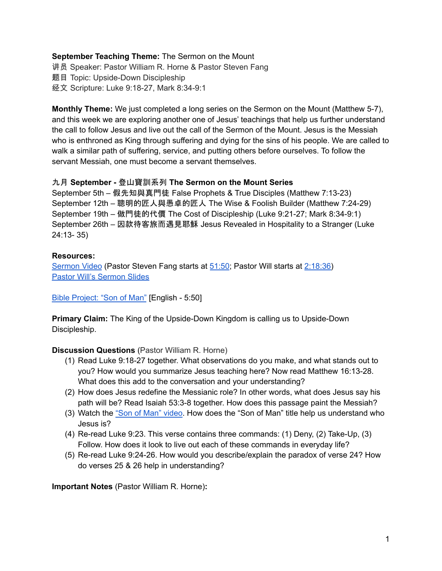### **September Teaching Theme:** The Sermon on the Mount

讲员 Speaker: Pastor William R. Horne & Pastor Steven Fang

题目 Topic: Upside-Down Discipleship

经文 Scripture: Luke 9:18-27, Mark 8:34-9:1

**Monthly Theme:** We just completed a long series on the Sermon on the Mount (Matthew 5-7), and this week we are exploring another one of Jesus' teachings that help us further understand the call to follow Jesus and live out the call of the Sermon of the Mount. Jesus is the Messiah who is enthroned as King through suffering and dying for the sins of his people. We are called to walk a similar path of suffering, service, and putting others before ourselves. To follow the servant Messiah, one must become a servant themselves.

### 九月 **September -** 登山寶訓系列 **The Sermon on the Mount Series**

September 5th – 假先知與真門徒 False Prophets & True Disciples (Matthew 7:13-23) September 12th – 聰明的匠人與愚卓的匠人 The Wise & Foolish Builder (Matthew 7:24-29) September 19th – 做門徒的代價 The Cost of Discipleship (Luke 9:21-27; Mark 8:34-9:1) September 26th – 因款待客旅而遇見耶穌 Jesus Revealed in Hospitality to a Stranger (Luke 24:13- 35)

# **Resources:**

[Sermon](https://www.youtube.com/watch?v=S_1akdyr6io) Video (Pastor Steven Fang starts at [51:50](https://youtu.be/S_1akdyr6io?t=3110); Pastor Will starts at [2:18:36\)](https://youtu.be/S_1akdyr6io?t=8316) Pastor Will's [Sermon](https://docs.google.com/presentation/d/1jvKzS1xOE2x-TuyWezAHs18-7hkiDZfYJwYfXwUtmhg/edit?usp=sharing) Slides

Bible [Project:](https://bibleproject.com/explore/video/son-of-man/) "Son of Man" [English - 5:50]

**Primary Claim:** The King of the Upside-Down Kingdom is calling us to Upside-Down Discipleship.

# **Discussion Questions** (Pastor William R. Horne)

- (1) Read Luke 9:18-27 together. What observations do you make, and what stands out to you? How would you summarize Jesus teaching here? Now read Matthew 16:13-28. What does this add to the conversation and your understanding?
- (2) How does Jesus redefine the Messianic role? In other words, what does Jesus say his path will be? Read Isaiah 53:3-8 together. How does this passage paint the Messiah?
- (3) Watch the "Son of Man" [video](https://bibleproject.com/explore/video/son-of-man/). How does the "Son of Man" title help us understand who Jesus is?
- (4) Re-read Luke 9:23. This verse contains three commands: (1) Deny, (2) Take-Up, (3) Follow. How does it look to live out each of these commands in everyday life?
- (5) Re-read Luke 9:24-26. How would you describe/explain the paradox of verse 24? How do verses 25 & 26 help in understanding?

**Important Notes** (Pastor William R. Horne)**:**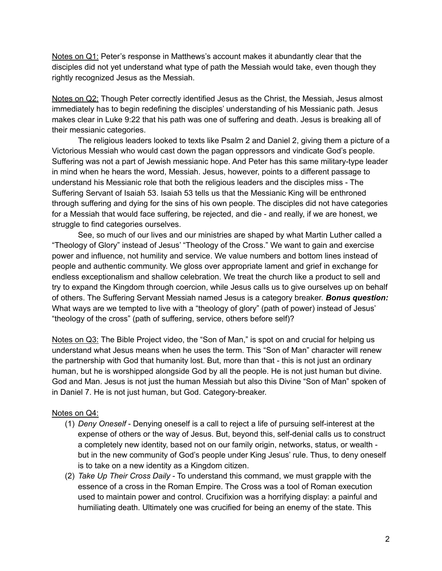Notes on Q1: Peter's response in Matthews's account makes it abundantly clear that the disciples did not yet understand what type of path the Messiah would take, even though they rightly recognized Jesus as the Messiah.

Notes on Q2: Though Peter correctly identified Jesus as the Christ, the Messiah, Jesus almost immediately has to begin redefining the disciples' understanding of his Messianic path. Jesus makes clear in Luke 9:22 that his path was one of suffering and death. Jesus is breaking all of their messianic categories.

The religious leaders looked to texts like Psalm 2 and Daniel 2, giving them a picture of a Victorious Messiah who would cast down the pagan oppressors and vindicate God's people. Suffering was not a part of Jewish messianic hope. And Peter has this same military-type leader in mind when he hears the word, Messiah. Jesus, however, points to a different passage to understand his Messianic role that both the religious leaders and the disciples miss - The Suffering Servant of Isaiah 53. Isaiah 53 tells us that the Messianic King will be enthroned through suffering and dying for the sins of his own people. The disciples did not have categories for a Messiah that would face suffering, be rejected, and die - and really, if we are honest, we struggle to find categories ourselves.

See, so much of our lives and our ministries are shaped by what Martin Luther called a "Theology of Glory" instead of Jesus' "Theology of the Cross." We want to gain and exercise power and influence, not humility and service. We value numbers and bottom lines instead of people and authentic community. We gloss over appropriate lament and grief in exchange for endless exceptionalism and shallow celebration. We treat the church like a product to sell and try to expand the Kingdom through coercion, while Jesus calls us to give ourselves up on behalf of others. The Suffering Servant Messiah named Jesus is a category breaker. *Bonus question:* What ways are we tempted to live with a "theology of glory" (path of power) instead of Jesus' "theology of the cross" (path of suffering, service, others before self)?

Notes on Q3: The Bible Project video, the "Son of Man," is spot on and crucial for helping us understand what Jesus means when he uses the term. This "Son of Man" character will renew the partnership with God that humanity lost. But, more than that - this is not just an ordinary human, but he is worshipped alongside God by all the people. He is not just human but divine. God and Man. Jesus is not just the human Messiah but also this Divine "Son of Man" spoken of in Daniel 7. He is not just human, but God. Category-breaker.

# Notes on Q4:

- (1) *Deny Oneself* Denying oneself is a call to reject a life of pursuing self-interest at the expense of others or the way of Jesus. But, beyond this, self-denial calls us to construct a completely new identity, based not on our family origin, networks, status, or wealth but in the new community of God's people under King Jesus' rule. Thus, to deny oneself is to take on a new identity as a Kingdom citizen.
- (2) *Take Up Their Cross Daily* To understand this command, we must grapple with the essence of a cross in the Roman Empire. The Cross was a tool of Roman execution used to maintain power and control. Crucifixion was a horrifying display: a painful and humiliating death. Ultimately one was crucified for being an enemy of the state. This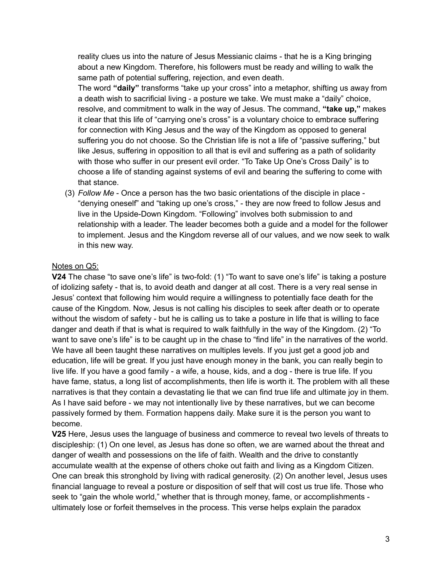reality clues us into the nature of Jesus Messianic claims - that he is a King bringing about a new Kingdom. Therefore, his followers must be ready and willing to walk the same path of potential suffering, rejection, and even death.

The word **"daily"** transforms "take up your cross" into a metaphor, shifting us away from a death wish to sacrificial living - a posture we take. We must make a "daily" choice, resolve, and commitment to walk in the way of Jesus. The command, **"take up,"** makes it clear that this life of "carrying one's cross" is a voluntary choice to embrace suffering for connection with King Jesus and the way of the Kingdom as opposed to general suffering you do not choose. So the Christian life is not a life of "passive suffering," but like Jesus, suffering in opposition to all that is evil and suffering as a path of solidarity with those who suffer in our present evil order. "To Take Up One's Cross Daily" is to choose a life of standing against systems of evil and bearing the suffering to come with that stance.

(3) *Follow Me* - Once a person has the two basic orientations of the disciple in place - "denying oneself" and "taking up one's cross," - they are now freed to follow Jesus and live in the Upside-Down Kingdom. "Following" involves both submission to and relationship with a leader. The leader becomes both a guide and a model for the follower to implement. Jesus and the Kingdom reverse all of our values, and we now seek to walk in this new way.

### Notes on Q5:

**V24** The chase "to save one's life" is two-fold: (1) "To want to save one's life" is taking a posture of idolizing safety - that is, to avoid death and danger at all cost. There is a very real sense in Jesus' context that following him would require a willingness to potentially face death for the cause of the Kingdom. Now, Jesus is not calling his disciples to seek after death or to operate without the wisdom of safety - but he is calling us to take a posture in life that is willing to face danger and death if that is what is required to walk faithfully in the way of the Kingdom. (2) "To want to save one's life" is to be caught up in the chase to "find life" in the narratives of the world. We have all been taught these narratives on multiples levels. If you just get a good job and education, life will be great. If you just have enough money in the bank, you can really begin to live life. If you have a good family - a wife, a house, kids, and a dog - there is true life. If you have fame, status, a long list of accomplishments, then life is worth it. The problem with all these narratives is that they contain a devastating lie that we can find true life and ultimate joy in them. As I have said before - we may not intentionally live by these narratives, but we can become passively formed by them. Formation happens daily. Make sure it is the person you want to become.

**V25** Here, Jesus uses the language of business and commerce to reveal two levels of threats to discipleship: (1) On one level, as Jesus has done so often, we are warned about the threat and danger of wealth and possessions on the life of faith. Wealth and the drive to constantly accumulate wealth at the expense of others choke out faith and living as a Kingdom Citizen. One can break this stronghold by living with radical generosity. (2) On another level, Jesus uses financial language to reveal a posture or disposition of self that will cost us true life. Those who seek to "gain the whole world," whether that is through money, fame, or accomplishments ultimately lose or forfeit themselves in the process. This verse helps explain the paradox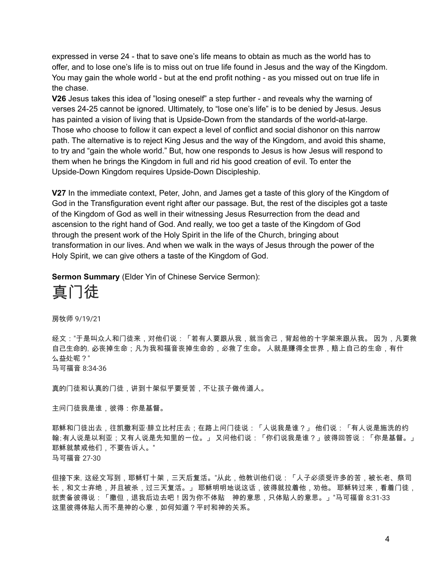expressed in verse 24 - that to save one's life means to obtain as much as the world has to offer, and to lose one's life is to miss out on true life found in Jesus and the way of the Kingdom. You may gain the whole world - but at the end profit nothing - as you missed out on true life in the chase.

**V26** Jesus takes this idea of "losing oneself" a step further - and reveals why the warning of verses 24-25 cannot be ignored. Ultimately, to "lose one's life" is to be denied by Jesus. Jesus has painted a vision of living that is Upside-Down from the standards of the world-at-large. Those who choose to follow it can expect a level of conflict and social dishonor on this narrow path. The alternative is to reject King Jesus and the way of the Kingdom, and avoid this shame, to try and "gain the whole world." But, how one responds to Jesus is how Jesus will respond to them when he brings the Kingdom in full and rid his good creation of evil. To enter the Upside-Down Kingdom requires Upside-Down Discipleship.

**V27** In the immediate context, Peter, John, and James get a taste of this glory of the Kingdom of God in the Transfiguration event right after our passage. But, the rest of the disciples got a taste of the Kingdom of God as well in their witnessing Jesus Resurrection from the dead and ascension to the right hand of God. And really, we too get a taste of the Kingdom of God through the present work of the Holy Spirit in the life of the Church, bringing about transformation in our lives. And when we walk in the ways of Jesus through the power of the Holy Spirit, we can give others a taste of the Kingdom of God.

**Sermon Summary** (Elder Yin of Chinese Service Sermon):



房牧师 9/19/21

经文:"于是叫众人和门徒来,对他们说:「若有人要跟从我,就当舍己,背起他的十字架来跟从我。 因为,凡要救 自己生命的, 必丧掉生命;凡为我和福音丧掉生命的,必救了生命。 人就是赚得全世界,赔上自己的生命,有什 么益处呢?" 马可福音 8:34-36

真的门徒和认真的门徒,讲到十架似乎要受苦,不让孩子做传道人。

主问门徒我是谁,彼得:你是基督。

耶稣和门徒出去,往凯撒利亚·腓立比村庄去;在路上问门徒说:「人说我是谁?」 他们说:「有人说是施洗的约 翰;有人说是以利亚;又有人说是先知里的一位。」 又问他们说:「你们说我是谁?」彼得回答说:「你是基督。」 耶稣就禁戒他们,不要告诉人。" 马可福音 27-30

但接下来,这经文写到,耶稣钉十架,三天后复活。"从此,他教训他们说:「人子必须受许多的苦,被长老、祭司 长,和文士弃绝,并且被杀,过三天复活。」 耶稣明明地说这话,彼得就拉着他,劝他。 耶稣转过来,看着门徒, 就责备彼得说:「撒但,退我后边去吧!因为你不体贴 神的意思,只体贴人的意思。」"马可福音 8:31-33 这里彼得体贴人而不是神的心意,如何知道?平时和神的关系。